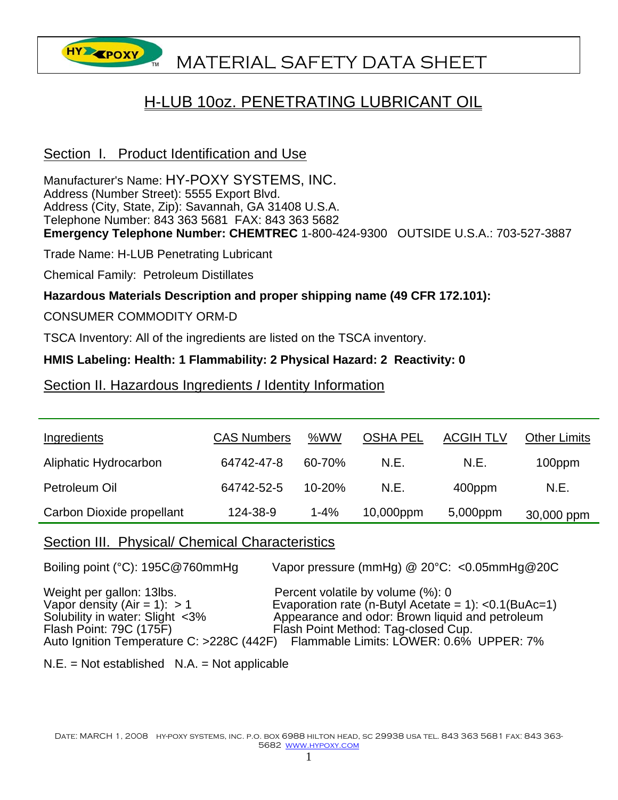

# H-LUB 10oz. PENETRATING LUBRICANT OIL

# Section I. Product Identification and Use

Manufacturer's Name: HY-POXY SYSTEMS, INC. Address (Number Street): 5555 Export Blvd. Address (City, State, Zip): Savannah, GA 31408 U.S.A. Telephone Number: 843 363 5681 FAX: 843 363 5682 **Emergency Telephone Number: CHEMTREC** 1-800-424-9300 OUTSIDE U.S.A.: 703-527-3887

Trade Name: H-LUB Penetrating Lubricant

Chemical Family: Petroleum Distillates

### **Hazardous Materials Description and proper shipping name (49 CFR 172.101):**

CONSUMER COMMODITY ORM-D

TSCA Inventory: All of the ingredients are listed on the TSCA inventory.

### **HMIS Labeling: Health: 1 Flammability: 2 Physical Hazard: 2 Reactivity: 0**

### Section II. Hazardous Ingredients *I* Identity Information

| Ingredients               | <b>CAS Numbers</b> | %WW        | <b>OSHA PEL</b> | <b>ACGIH TLV</b> | <b>Other Limits</b> |
|---------------------------|--------------------|------------|-----------------|------------------|---------------------|
| Aliphatic Hydrocarbon     | 64742-47-8         | 60-70%     | N.E.            | N.E.             | 100ppm              |
| Petroleum Oil             | 64742-52-5         | $10 - 20%$ | N.E.            | 400ppm           | N.E.                |
| Carbon Dioxide propellant | 124-38-9           | $1 - 4%$   | 10,000ppm       | 5,000ppm         | 30,000 ppm          |

### Section III. Physical/ Chemical Characteristics

| Boiling point (°C): 195C@760mmHg                                                                                          | Vapor pressure (mmHg) @ 20°C: <0.05mmHg@20C                                                                                                                                                                                                                                 |
|---------------------------------------------------------------------------------------------------------------------------|-----------------------------------------------------------------------------------------------------------------------------------------------------------------------------------------------------------------------------------------------------------------------------|
| Weight per gallon: 13lbs.<br>Vapor density (Air = 1): $> 1$<br>Solubility in water: Slight <3%<br>Flash Point: 79C (175F) | Percent volatile by volume (%): 0<br>Evaporation rate (n-Butyl Acetate = $1$ ): <0.1(BuAc=1)<br>Appearance and odor: Brown liquid and petroleum<br>Flash Point Method: Tag-closed Cup.<br>Auto Ignition Temperature C: >228C (442F) Flammable Limits: LOWER: 0.6% UPPER: 7% |

 $N.E. = Not established N.A. = Not applicable$ 

DATE: MARCH 1, 2008 HY-POXY SYSTEMS, INC. P.O. BOX 6988 HILTON HEAD, SC 29938 USA TEL. 843 363 5681 FAX: 843 363-5682 www.hypoxy.com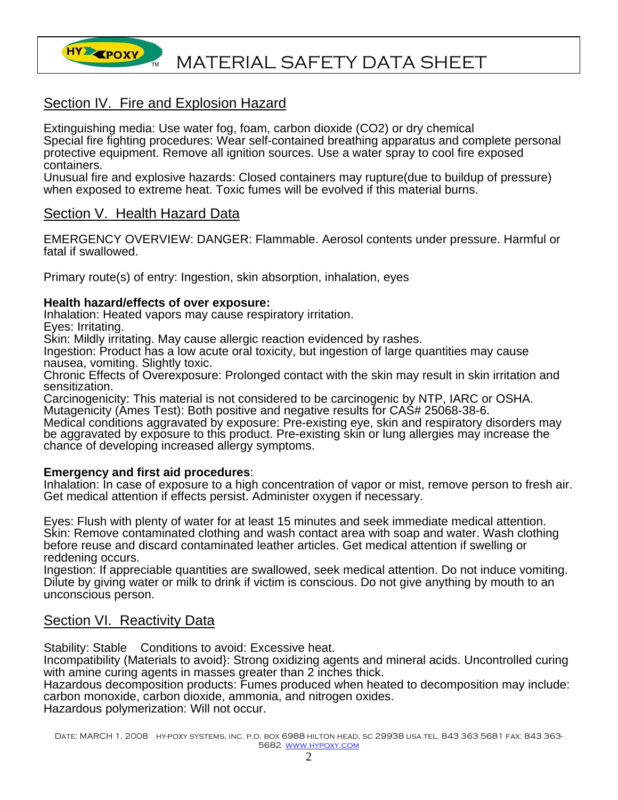

# Section IV. Fire and Explosion Hazard

Extinguishing media: Use water fog, foam, carbon dioxide (CO2) or dry chemical Special fire fighting procedures: Wear self-contained breathing apparatus and complete personal protective equipment. Remove all ignition sources. Use a water spray to cool fire exposed containers.

Unusual fire and explosive hazards: Closed containers may rupture(due to buildup of pressure) when exposed to extreme heat. Toxic fumes will be evolved if this material burns.

## Section V. Health Hazard Data

EMERGENCY OVERVIEW: DANGER: Flammable. Aerosol contents under pressure. Harmful or fatal if swallowed.

Primary route(s) of entry: Ingestion, skin absorption, inhalation, eyes

#### **Health hazard/effects of over exposure:**

Inhalation: Heated vapors may cause respiratory irritation.

Eyes: Irritating.

Skin: Mildly irritating. May cause allergic reaction evidenced by rashes.

Ingestion: Product has a low acute oral toxicity, but ingestion of large quantities may cause nausea, vomiting. Slightly toxic.

Chronic Effects of Overexposure: Prolonged contact with the skin may result in skin irritation and sensitization.

Carcinogenicity: This material is not considered to be carcinogenic by NTP, IARC or OSHA. Mutagenicity (Ames Test): Both positive and negative results for CAS# 25068-38-6.

Medical conditions aggravated by exposure: Pre-existing eye, skin and respiratory disorders may be aggravated by exposure to this product. Pre-existing skin or lung allergies may increase the chance of developing increased allergy symptoms.

#### **Emergency and first aid procedures**:

Inhalation: In case of exposure to a high concentration of vapor or mist, remove person to fresh air. Get medical attention if effects persist. Administer oxygen if necessary.

Eyes: Flush with plenty of water for at least 15 minutes and seek immediate medical attention. Skin: Remove contaminated clothing and wash contact area with soap and water. Wash clothing before reuse and discard contaminated leather articles. Get medical attention if swelling or reddening occurs.

Ingestion: If appreciable quantities are swallowed, seek medical attention. Do not induce vomiting. Dilute by giving water or milk to drink if victim is conscious. Do not give anything by mouth to an unconscious person.

# **Section VI. Reactivity Data**

Stability: Stable Conditions to avoid: Excessive heat.

Incompatibility (Materials to avoid}: Strong oxidizing agents and mineral acids. Uncontrolled curing with amine curing agents in masses greater than 2 inches thick.

Hazardous decomposition products: Fumes produced when heated to decomposition may include: carbon monoxide, carbon dioxide, ammonia, and nitrogen oxides. Hazardous polymerization: Will not occur.